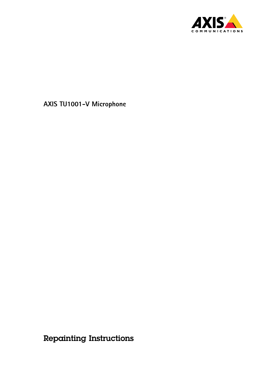

Repainting Instructions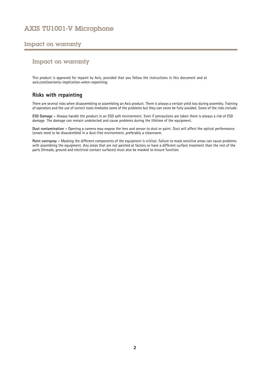## Impact on warranty

### Impact on warranty

This product is approved for repaint by Axis, provided that you follow the instructions in this document and at *[axis.com/warranty-implication-when-repainting](https://www.axis.com/warranty-implication-when-repainting)*.

### **Risks with repainting**

There are several risks when disassembling or assembling an Axis product. There is always <sup>a</sup> certain yield loss during assembly. Training of operators and the use of correct tools mediates some of the problems but they can never be fully avoided. Some of the risks include:

**ESD Damage -** Always handle the product in an ESD safe environment. Even if precautions are taken there is always <sup>a</sup> risk of ESD damage. The damage can remain undetected and cause problems during the lifetime of the equipment.

**Dust contamination -** Opening <sup>a</sup> camera may expose the lens and sensor to dust or paint. Dust will affect the optical performance. Lenses need to be disassembled in <sup>a</sup> dust-free environment, preferably <sup>a</sup> cleanroom.

**Paint overspray -** Masking the different components of the equipment is critical. Failure to mask sensitive areas can cause problems with assembling the equipment. Any areas that are not painted at factory or have <sup>a</sup> different surface treatment than the rest of the parts (threads, ground and electrical contact surfaces) must also be masked to ensure function.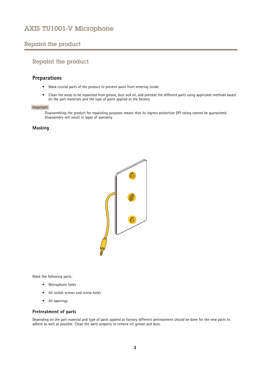## <span id="page-2-0"></span>Repaint the product

## Repaint the product

### **Preparations**

- Mask crucial parts of the product to prevent paint from entering inside.
- • Clean the areas to be repainted from grease, dust and oil, and pretreat the different parts using applicable methods based on the part materials and the type of paint applied at the factory

#### Important

Disassembling the product for repainting purposes means that its ingress protection (IP) rating cannot be guaranteed. Disassembly will result in lapse of warranty.

#### **Masking**



Mask the following parts:

- Microphone holes
- All visible screws and screw holes
- All openings

#### **Pretreatment of parts**

Depending on the part material and type of paint applied at factory, different pretreatment should be done for the new paint to adhere as well as possible. Clean the parts properly to remove oil, grease and dust.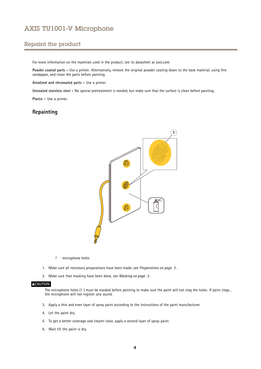## Repaint the product

For more information on the materials used in the product, see its datasheet at *[axis.com](https://www.axis.com)*.

**Powder coated parts -** Use <sup>a</sup> primer. Alternatively, remove the original powder coating down to the base material, using fine sandpaper, and clean the parts before painting.

**Anodised and chromated parts -** Use <sup>a</sup> primer.

**Uncoated stainless steel -** No special pretreatment is needed, but make sure that the surface is clean before painting.

**Plastic -** Use <sup>a</sup> primer.

### **Repainting**



*1 microphone holes*

- 1. Make sure all necessary preparations have been made, see *[Preparations](#page-2-0) on page [3](#page-2-0)* .
- 2. Make sure that masking have been done, see *[Masking](#page-2-0) on page [3](#page-2-0)* .

#### **ACAUTION**

The microphone holes (1 ) must be masked before painting to make sure the paint will not clog the holes. If paint clogs , the microphone will not register any sound.

- 3. Apply <sup>a</sup> thin and even layer of spray paint according to the instructions of the paint manufacturer.
- 4. Let the paint dry.
- 5. To get <sup>a</sup> better coverage and clearer color, apply <sup>a</sup> second layer of spray paint.
- 6. Wait till the paint is dry.